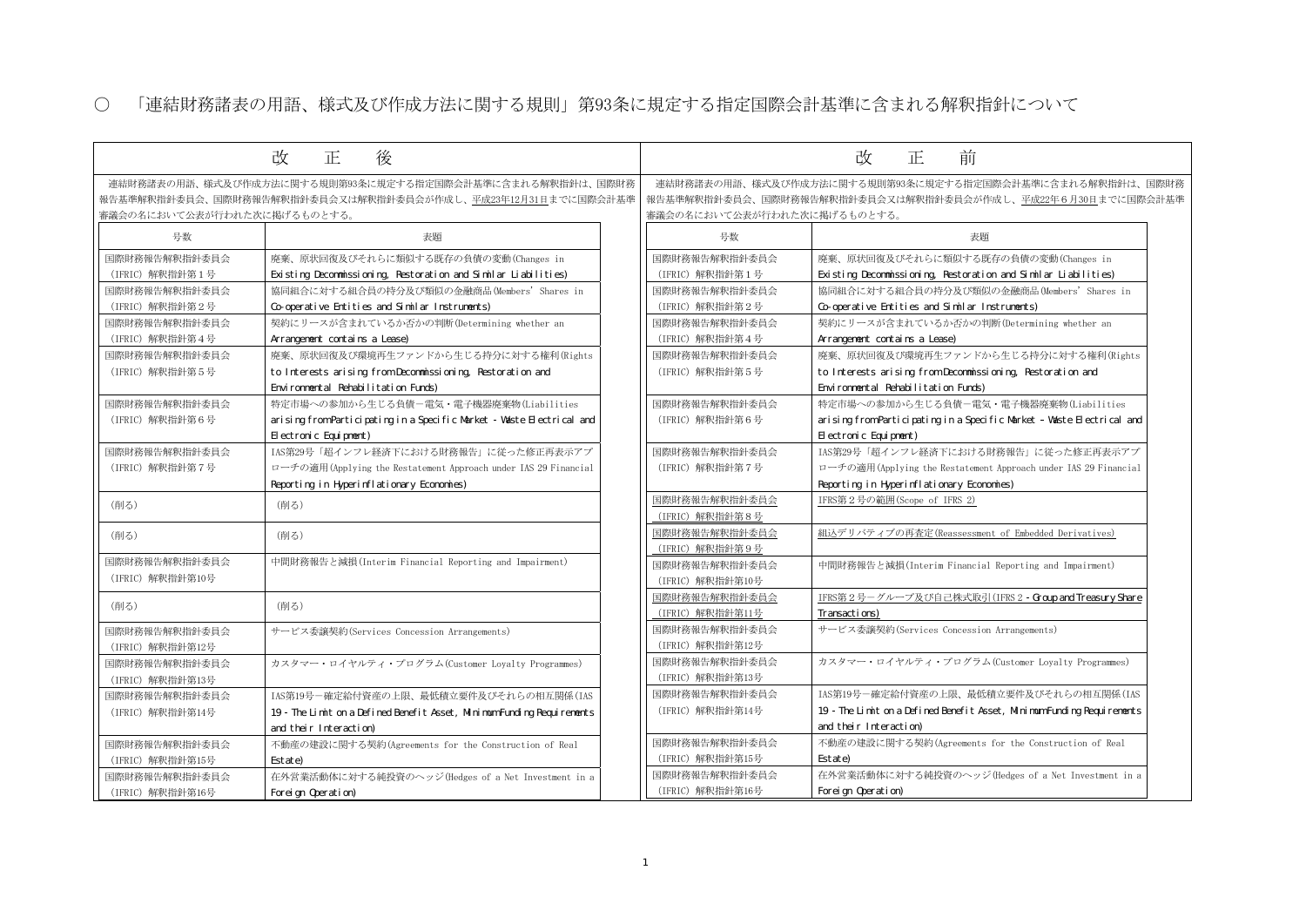国際会計基準に含まれる解釈指針は、国際財務 作成し、平成22年6月30日までに国際会計基準

○ 「連結財務諸表の用語、様式及び作成方法に関する規則」第93条に規定する指定国際会計基準に含まれる解釈指針について

|                                                                                            | 改<br>後<br>正                                                             |                             | 前<br>改<br>正                              |
|--------------------------------------------------------------------------------------------|-------------------------------------------------------------------------|-----------------------------|------------------------------------------|
|                                                                                            |                                                                         |                             |                                          |
| 連結財務諸表の用語、様式及び作成方法に関する規則第93条に規定する指定国際会計基準に含まれる解釈指針は、国際財務                                   |                                                                         |                             | 連結財務諸表の用語、様式及び作成方法に関する規則第93条に規定する指定国     |
| 報告基準解釈指針委員会、国際財務報告解釈指針委員会又は解釈指針委員会が作成し、平成23年12月31日までに国際会計基準<br>審議会の名において公表が行われた次に掲げるものとする。 |                                                                         |                             | 報告基準解釈指針委員会、国際財務報告解釈指針委員会又は解釈指針委員会が作     |
|                                                                                            |                                                                         | 審議会の名において公表が行われた次に掲げるものとする。 |                                          |
| 号数                                                                                         | 表題                                                                      | 号数                          | 表題                                       |
| 国際財務報告解釈指針委員会                                                                              | 廃棄、原状回復及びそれらに類似する既存の負債の変動(Changes in                                    | 国際財務報告解釈指針委員会               | 廃棄、原状回復及びそれらに類似する既                       |
| (IFRIC) 解釈指針第1号                                                                            | Existing Deconmissioning Restoration and Similar Liabilities)           | (IFRIC) 解釈指針第1号             | Existing Deconmissioning Restoration     |
| 国際財務報告解釈指針委員会                                                                              | 協同組合に対する組合員の持分及び類似の金融商品(Members' Shares in                              | 国際財務報告解釈指針委員会               | 協同組合に対する組合員の持分及び類似                       |
| (IFRIC) 解釈指針第2号                                                                            | Co-operative Entities and Similar Instruments)                          | (IFRIC) 解釈指針第2号             | Co-operative Entities and Similar Ins    |
| 国際財務報告解釈指針委員会                                                                              | 契約にリースが含まれているか否かの判断(Determining whether an                              | 国際財務報告解釈指針委員会               | 契約にリースが含まれているか否かの判                       |
| (IFRIC) 解釈指針第4号                                                                            | Arrangement contains a Lease)                                           | (IFRIC) 解釈指針第4号             | Arrangement contains a Lease)            |
| 国際財務報告解釈指針委員会                                                                              | 廃棄、原状回復及び環境再生ファンドから生じる持分に対する権利(Rights                                   | 国際財務報告解釈指針委員会               | 廃棄、原状回復及び環境再生ファンドか                       |
| (IFRIC) 解釈指針第5号                                                                            | to Interests arising from Deconmissioning, Restoration and              | (IFRIC) 解釈指針第5号             | to Interests arising from Decommissio    |
|                                                                                            | Environmental Rehabilitation Funds)                                     |                             | Environmental Rehabilitation Funds)      |
| 国際財務報告解釈指針委員会                                                                              | 特定市場への参加から生じる負債ー電気·電子機器廃棄物(Liabilities                                  | 国際財務報告解釈指針委員会               | 特定市場への参加から生じる負債ー電気                       |
| (IFRIC) 解釈指針第6号                                                                            | arising from Participating in a Specific Market - Waste Electrical and  | (IFRIC) 解釈指針第6号             | arising from Participating in a Specif   |
|                                                                                            | El ectronic Equipment)                                                  |                             | El ectronic Equipment)                   |
| 国際財務報告解釈指針委員会                                                                              | IAS第29号「超インフレ経済下における財務報告」に従った修正再表示アプ                                    | 国際財務報告解釈指針委員会               | IAS第29号「超インフレ経済下における財                    |
| (IFRIC) 解釈指針第7号                                                                            | ローチの適用(Applying the Restatement Approach under IAS 29 Financial         | (IFRIC) 解釈指針第7号             | ローチの適用(Applying the Restatement          |
|                                                                                            | Reporting in Hyperinflationary Economies)                               |                             | Reporting in Hyperinflationary Econor    |
| (削る)                                                                                       | (削る)                                                                    | 国際財務報告解釈指針委員会               | IFRS第2号の範囲(Scope of IFRS 2)              |
|                                                                                            |                                                                         | (IFRIC) 解釈指針第8号             |                                          |
| (削る)                                                                                       | (削る)                                                                    | 国際財務報告解釈指針委員会               | 組込デリバティブの再査定(Reassessment                |
|                                                                                            |                                                                         | (IFRIC) 解釈指針第9号             |                                          |
| 国際財務報告解釈指針委員会                                                                              | 中間財務報告と減損(Interim Financial Reporting and Impairment)                   | 国際財務報告解釈指針委員会               | 中間財務報告と減損(Interim Financial              |
| (IFRIC) 解釈指針第10号                                                                           |                                                                         | (IFRIC) 解釈指針第10号            |                                          |
| (削る)                                                                                       | (削る)                                                                    | 国際財務報告解釈指針委員会               | IFRS第2号ーグループ及び自己株式取引                     |
|                                                                                            |                                                                         | (IFRIC) 解釈指針第11号            | Transactions)                            |
| 国際財務報告解釈指針委員会                                                                              | サービス委譲契約(Services Concession Arrangements)                              | 国際財務報告解釈指針委員会               | サービス委譲契約(Services Concession             |
| (IFRIC) 解釈指針第12号                                                                           |                                                                         | (IFRIC) 解釈指針第12号            |                                          |
| 国際財務報告解釈指針委員会                                                                              | カスタマー・ロイヤルティ・プログラム(Customer Loyalty Programmes)                         | 国際財務報告解釈指針委員会               | カスタマー・ロイヤルティ・プログラム                       |
| (IFRIC) 解釈指針第13号                                                                           |                                                                         | (IFRIC) 解釈指針第13号            |                                          |
| 国際財務報告解釈指針委員会                                                                              | IAS第19号ー確定給付資産の上限、最低積立要件及びそれらの相互関係(IAS                                  | 国際財務報告解釈指針委員会               | IAS第19号ー確定給付資産の上限、最低積                    |
| (IFRIC) 解釈指針第14号                                                                           | 19 - The Limit on a Defined Benefit Asset, Minimum Funding Requirements | (IFRIC) 解釈指針第14号            | 19 - The Limit on a Defined Benefit Asse |
|                                                                                            | and their Interaction)                                                  |                             | and their Interaction)                   |
| 国際財務報告解釈指針委員会                                                                              | 不動産の建設に関する契約(Agreements for the Construction of Real                    | 国際財務報告解釈指針委員会               | 不動産の建設に関する契約(Agreements 1                |
| (IFRIC) 解釈指針第15号                                                                           | Est at e                                                                | (IFRIC) 解釈指針第15号            | Estate)                                  |
| 国際財務報告解釈指針委員会                                                                              | 在外営業活動体に対する純投資のヘッジ(Hedges of a Net Investment in a                      | 国際財務報告解釈指針委員会               | 在外営業活動体に対する純投資のヘッジ                       |
| (IFRIC) 解釈指針第16号                                                                           | Foreign Operation)                                                      | (IFRIC) 解釈指針第16号            | Foreign Operation)                       |

廃棄、原状回復及びそれらに類似する既存の負債の変動(Changes in

on and Similar Liabilities)

以の金融商品(Members' Shares in

nstruments)

**判断(Determining whether an** 

いら生じる持分に対する権利(Rights ioning, Restoration and

気・電子機器廃棄物(Liabilities ific Market – Waste Electrical and

財務報告」に従った修正再表示アプ nt Approach under IAS 29 Financial reporting in Hyperical in  $\mathcal{B}$ 

nt of Embedded Derivatives)

al Reporting and Impairment)

**I** (IFRS 2 - Group and Treasury Share)

)<br>Services (Services Concession Arrangements)

ム(Customer Loyalty Programmes)

積立要件及びそれらの相互関係(IAS 19 Isset, Minimum Funding Requirements

for the Construction of Real

 $\mathcal{\breve{S}}$ (Hedges of a Net Investment in a